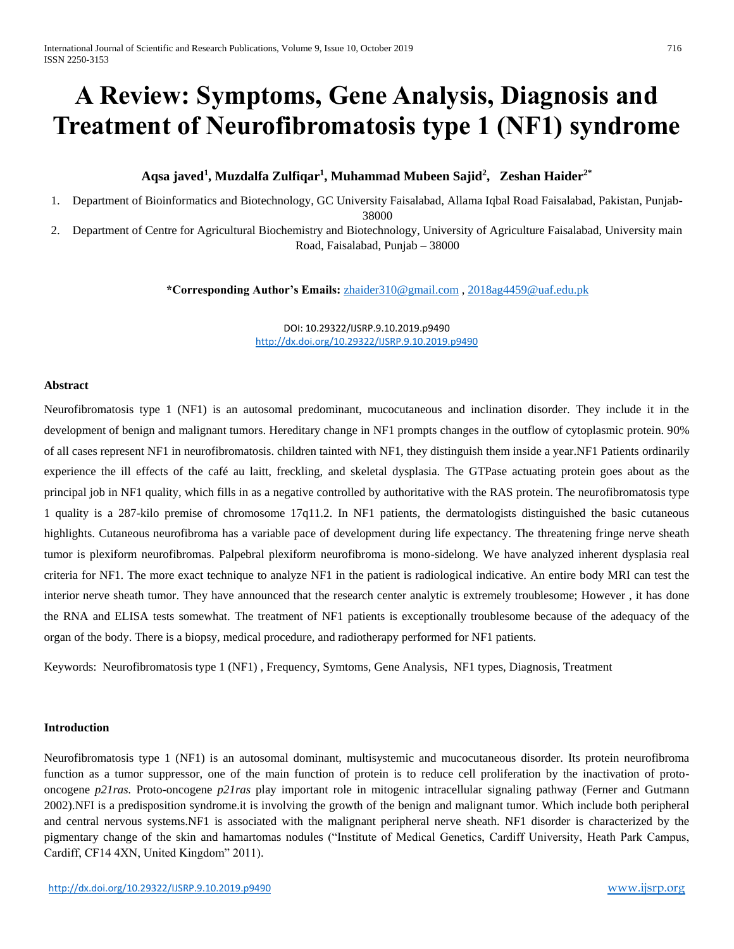# **A Review: Symptoms, Gene Analysis, Diagnosis and Treatment of Neurofibromatosis type 1 (NF1) syndrome**

# **Aqsa javed<sup>1</sup> , Muzdalfa Zulfiqar<sup>1</sup> , Muhammad Mubeen Sajid<sup>2</sup> , Zeshan Haider2\***

1. Department of Bioinformatics and Biotechnology, GC University Faisalabad, Allama Iqbal Road Faisalabad, Pakistan, Punjab-

38000

2. Department of Centre for Agricultural Biochemistry and Biotechnology, University of Agriculture Faisalabad, University main Road, Faisalabad, Punjab – 38000

**\*Corresponding Author's Emails:** [zhaider310@gmail.com](mailto:zhaider310@gmail.com) , [2018ag4459@uaf.edu.pk](mailto:2018ag4459@uaf.edu.pk)

DOI: 10.29322/IJSRP.9.10.2019.p9490 <http://dx.doi.org/10.29322/IJSRP.9.10.2019.p9490>

#### **Abstract**

Neurofibromatosis type 1 (NF1) is an autosomal predominant, mucocutaneous and inclination disorder. They include it in the development of benign and malignant tumors. Hereditary change in NF1 prompts changes in the outflow of cytoplasmic protein. 90% of all cases represent NF1 in neurofibromatosis. children tainted with NF1, they distinguish them inside a year.NF1 Patients ordinarily experience the ill effects of the café au laitt, freckling, and skeletal dysplasia. The GTPase actuating protein goes about as the principal job in NF1 quality, which fills in as a negative controlled by authoritative with the RAS protein. The neurofibromatosis type 1 quality is a 287-kilo premise of chromosome 17q11.2. In NF1 patients, the dermatologists distinguished the basic cutaneous highlights. Cutaneous neurofibroma has a variable pace of development during life expectancy. The threatening fringe nerve sheath tumor is plexiform neurofibromas. Palpebral plexiform neurofibroma is mono-sidelong. We have analyzed inherent dysplasia real criteria for NF1. The more exact technique to analyze NF1 in the patient is radiological indicative. An entire body MRI can test the interior nerve sheath tumor. They have announced that the research center analytic is extremely troublesome; However , it has done the RNA and ELISA tests somewhat. The treatment of NF1 patients is exceptionally troublesome because of the adequacy of the organ of the body. There is a biopsy, medical procedure, and radiotherapy performed for NF1 patients.

Keywords: Neurofibromatosis type 1 (NF1) , Frequency, Symtoms, Gene Analysis, NF1 types, Diagnosis, Treatment

#### **Introduction**

Neurofibromatosis type 1 (NF1) is an autosomal dominant, multisystemic and mucocutaneous disorder. Its protein neurofibroma function as a tumor suppressor, one of the main function of protein is to reduce cell proliferation by the inactivation of protooncogene *p21ras.* Proto-oncogene *p21ras* play important role in mitogenic intracellular signaling pathway (Ferner and Gutmann 2002).NFI is a predisposition syndrome.it is involving the growth of the benign and malignant tumor. Which include both peripheral and central nervous systems.NF1 is associated with the malignant peripheral nerve sheath. NF1 disorder is characterized by the pigmentary change of the skin and hamartomas nodules ("Institute of Medical Genetics, Cardiff University, Heath Park Campus, Cardiff, CF14 4XN, United Kingdom" 2011).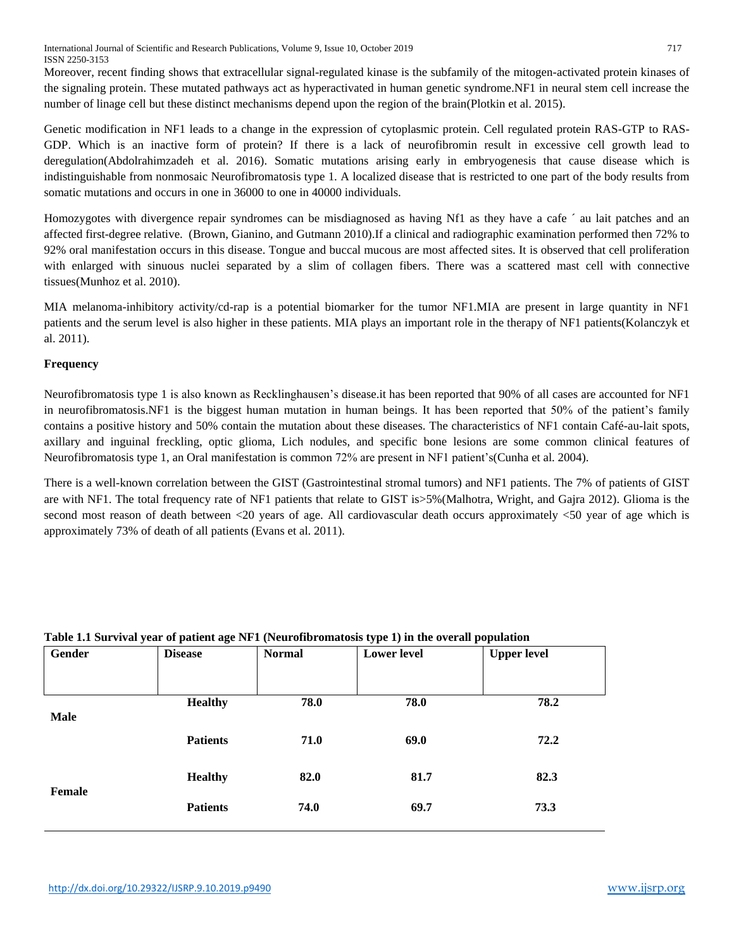International Journal of Scientific and Research Publications, Volume 9, Issue 10, October 2019 717 ISSN 2250-3153

Moreover, recent finding shows that extracellular signal-regulated kinase is the subfamily of the mitogen-activated protein kinases of the signaling protein. These mutated pathways act as hyperactivated in human genetic syndrome.NF1 in neural stem cell increase the number of linage cell but these distinct mechanisms depend upon the region of the brain(Plotkin et al. 2015).

Genetic modification in NF1 leads to a change in the expression of cytoplasmic protein. Cell regulated protein RAS-GTP to RAS-GDP. Which is an inactive form of protein? If there is a lack of neurofibromin result in excessive cell growth lead to deregulation(Abdolrahimzadeh et al. 2016). Somatic mutations arising early in embryogenesis that cause disease which is indistinguishable from nonmosaic Neurofibromatosis type 1. A localized disease that is restricted to one part of the body results from somatic mutations and occurs in one in 36000 to one in 40000 individuals.

Homozygotes with divergence repair syndromes can be misdiagnosed as having Nf1 as they have a cafe ´ au lait patches and an affected first-degree relative. (Brown, Gianino, and Gutmann 2010).If a clinical and radiographic examination performed then 72% to 92% oral manifestation occurs in this disease. Tongue and buccal mucous are most affected sites. It is observed that cell proliferation with enlarged with sinuous nuclei separated by a slim of collagen fibers. There was a scattered mast cell with connective tissues(Munhoz et al. 2010).

MIA melanoma-inhibitory activity/cd-rap is a potential biomarker for the tumor NF1.MIA are present in large quantity in NF1 patients and the serum level is also higher in these patients. MIA plays an important role in the therapy of NF1 patients(Kolanczyk et al. 2011).

# **Frequency**

Neurofibromatosis type 1 is also known as Recklinghausen's disease.it has been reported that 90% of all cases are accounted for NF1 in neurofibromatosis.NF1 is the biggest human mutation in human beings. It has been reported that 50% of the patient's family contains a positive history and 50% contain the mutation about these diseases. The characteristics of NF1 contain Café-au-lait spots, axillary and inguinal freckling, optic glioma, Lich nodules, and specific bone lesions are some common clinical features of Neurofibromatosis type 1, an Oral manifestation is common 72% are present in NF1 patient's(Cunha et al. 2004).

There is a well-known correlation between the GIST (Gastrointestinal stromal tumors) and NF1 patients. The 7% of patients of GIST are with NF1. The total frequency rate of NF1 patients that relate to GIST is>5%(Malhotra, Wright, and Gajra 2012). Glioma is the second most reason of death between <20 years of age. All cardiovascular death occurs approximately <50 year of age which is approximately 73% of death of all patients (Evans et al. 2011).

| Gender      | <b>Disease</b>  | <b>Normal</b> | <b>Lower level</b> | <b>Upper level</b> |
|-------------|-----------------|---------------|--------------------|--------------------|
| <b>Male</b> | <b>Healthy</b>  | 78.0          | 78.0               | 78.2               |
|             | <b>Patients</b> | 71.0          | 69.0               | 72.2               |
| Female      | <b>Healthy</b>  | 82.0          | 81.7               | 82.3               |
|             | <b>Patients</b> | 74.0          | 69.7               | 73.3               |

# **Table 1.1 Survival year of patient age NF1 (Neurofibromatosis type 1) in the overall population**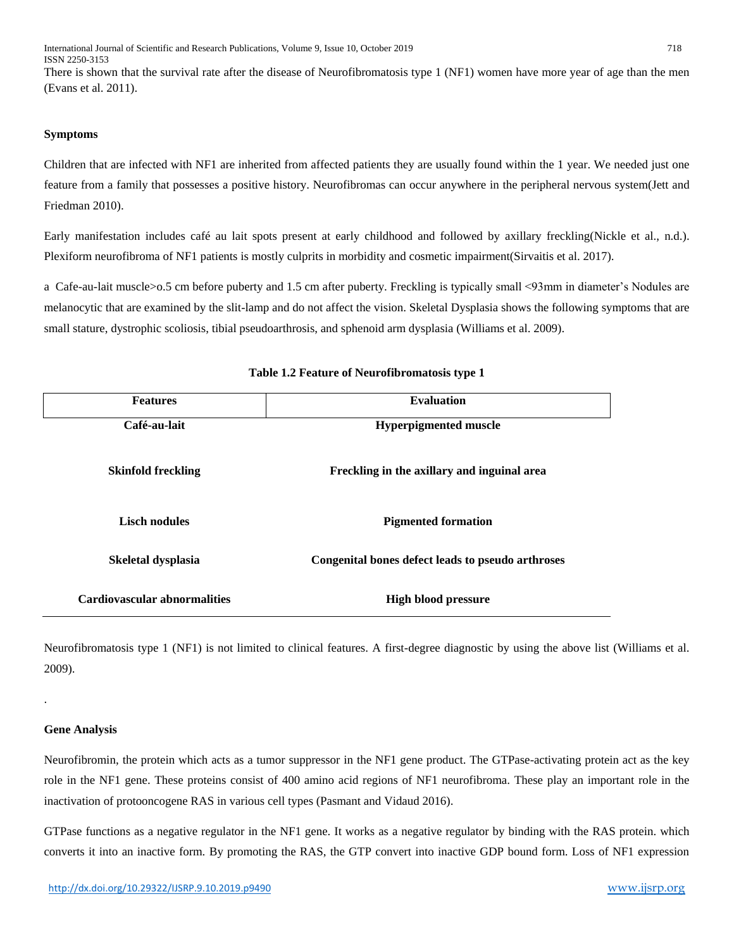International Journal of Scientific and Research Publications, Volume 9, Issue 10, October 2019 718 ISSN 2250-3153

There is shown that the survival rate after the disease of Neurofibromatosis type 1 (NF1) women have more year of age than the men (Evans et al. 2011).

#### **Symptoms**

Children that are infected with NF1 are inherited from affected patients they are usually found within the 1 year. We needed just one feature from a family that possesses a positive history. Neurofibromas can occur anywhere in the peripheral nervous system(Jett and Friedman 2010).

Early manifestation includes café au lait spots present at early childhood and followed by axillary freckling(Nickle et al., n.d.). Plexiform neurofibroma of NF1 patients is mostly culprits in morbidity and cosmetic impairment(Sirvaitis et al. 2017).

a Cafe-au-lait muscle>o.5 cm before puberty and 1.5 cm after puberty. Freckling is typically small <93mm in diameter's Nodules are melanocytic that are examined by the slit-lamp and do not affect the vision. Skeletal Dysplasia shows the following symptoms that are small stature, dystrophic scoliosis, tibial pseudoarthrosis, and sphenoid arm dysplasia (Williams et al. 2009).

| <b>Features</b>              | <b>Evaluation</b>                                 |  |  |
|------------------------------|---------------------------------------------------|--|--|
| Café-au-lait                 | <b>Hyperpigmented muscle</b>                      |  |  |
| <b>Skinfold freckling</b>    | Freckling in the axillary and inguinal area       |  |  |
| <b>Lisch nodules</b>         | <b>Pigmented formation</b>                        |  |  |
| Skeletal dysplasia           | Congenital bones defect leads to pseudo arthroses |  |  |
| Cardiovascular abnormalities | <b>High blood pressure</b>                        |  |  |

#### **Table 1.2 Feature of Neurofibromatosis type 1**

Neurofibromatosis type 1 (NF1) is not limited to clinical features. A first-degree diagnostic by using the above list (Williams et al. 2009).

#### **Gene Analysis**

.

Neurofibromin, the protein which acts as a tumor suppressor in the NF1 gene product. The GTPase-activating protein act as the key role in the NF1 gene. These proteins consist of 400 amino acid regions of NF1 neurofibroma. These play an important role in the inactivation of protooncogene RAS in various cell types (Pasmant and Vidaud 2016).

GTPase functions as a negative regulator in the NF1 gene. It works as a negative regulator by binding with the RAS protein. which converts it into an inactive form. By promoting the RAS, the GTP convert into inactive GDP bound form. Loss of NF1 expression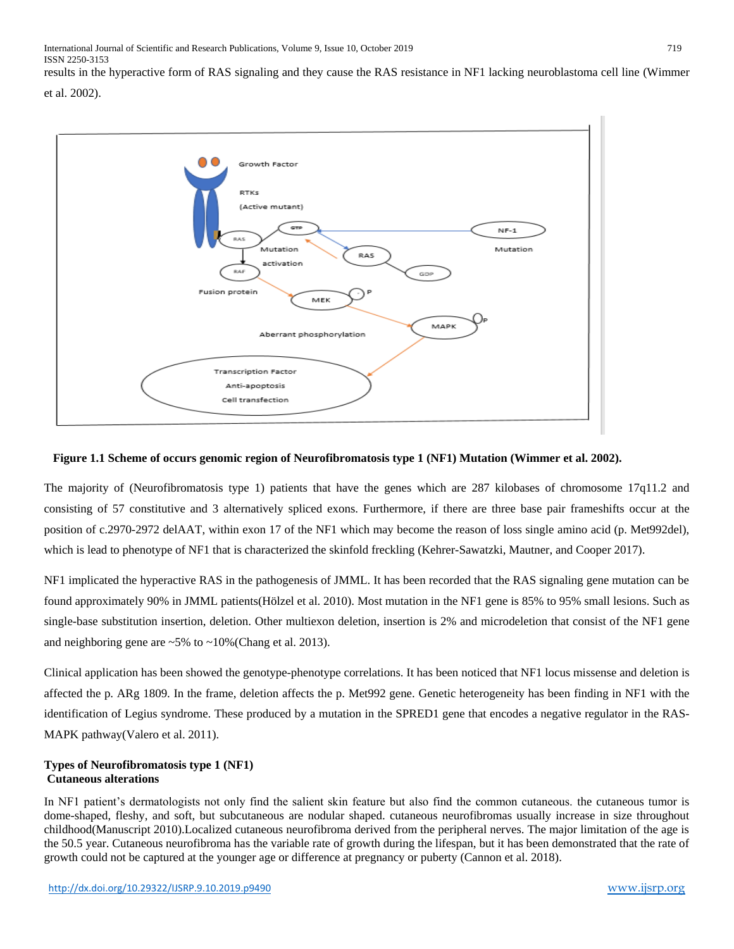results in the hyperactive form of RAS signaling and they cause the RAS resistance in NF1 lacking neuroblastoma cell line (Wimmer et al. 2002).



# **Figure 1.1 Scheme of occurs genomic region of Neurofibromatosis type 1 (NF1) Mutation (Wimmer et al. 2002).**

The majority of (Neurofibromatosis type 1) patients that have the genes which are 287 kilobases of chromosome 17q11.2 and consisting of 57 constitutive and 3 alternatively spliced exons. Furthermore, if there are three base pair frameshifts occur at the position of c.2970-2972 delAAT, within exon 17 of the NF1 which may become the reason of loss single amino acid (p. Met992del), which is lead to phenotype of NF1 that is characterized the skinfold freckling (Kehrer-Sawatzki, Mautner, and Cooper 2017).

NF1 implicated the hyperactive RAS in the pathogenesis of JMML. It has been recorded that the RAS signaling gene mutation can be found approximately 90% in JMML patients(Hölzel et al. 2010). Most mutation in the NF1 gene is 85% to 95% small lesions. Such as single-base substitution insertion, deletion. Other multiexon deletion, insertion is 2% and microdeletion that consist of the NF1 gene and neighboring gene are  $\sim$  5% to  $\sim$  10% (Chang et al. 2013).

Clinical application has been showed the genotype-phenotype correlations. It has been noticed that NF1 locus missense and deletion is affected the p. ARg 1809. In the frame, deletion affects the p. Met992 gene. Genetic heterogeneity has been finding in NF1 with the identification of Legius syndrome. These produced by a mutation in the SPRED1 gene that encodes a negative regulator in the RAS-MAPK pathway(Valero et al. 2011).

# **Types of Neurofibromatosis type 1 (NF1) Cutaneous alterations**

In NF1 patient's dermatologists not only find the salient skin feature but also find the common cutaneous. the cutaneous tumor is dome-shaped, fleshy, and soft, but subcutaneous are nodular shaped. cutaneous neurofibromas usually increase in size throughout childhood(Manuscript 2010).Localized cutaneous neurofibroma derived from the peripheral nerves. The major limitation of the age is the 50.5 year. Cutaneous neurofibroma has the variable rate of growth during the lifespan, but it has been demonstrated that the rate of growth could not be captured at the younger age or difference at pregnancy or puberty (Cannon et al. 2018).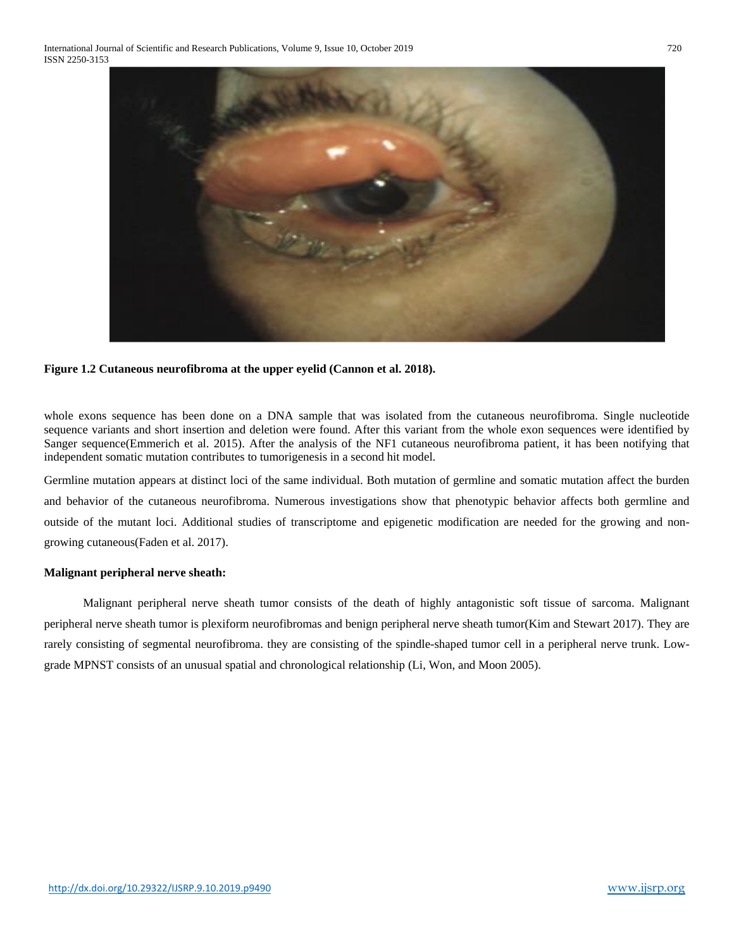

# **Figure 1.2 Cutaneous neurofibroma at the upper eyelid (Cannon et al. 2018).**

whole exons sequence has been done on a DNA sample that was isolated from the cutaneous neurofibroma. Single nucleotide sequence variants and short insertion and deletion were found. After this variant from the whole exon sequences were identified by Sanger sequence(Emmerich et al. 2015). After the analysis of the NF1 cutaneous neurofibroma patient, it has been notifying that independent somatic mutation contributes to tumorigenesis in a second hit model.

Germline mutation appears at distinct loci of the same individual. Both mutation of germline and somatic mutation affect the burden and behavior of the cutaneous neurofibroma. Numerous investigations show that phenotypic behavior affects both germline and outside of the mutant loci. Additional studies of transcriptome and epigenetic modification are needed for the growing and nongrowing cutaneous(Faden et al. 2017).

# **Malignant peripheral nerve sheath:**

 Malignant peripheral nerve sheath tumor consists of the death of highly antagonistic soft tissue of sarcoma. Malignant peripheral nerve sheath tumor is plexiform neurofibromas and benign peripheral nerve sheath tumor(Kim and Stewart 2017). They are rarely consisting of segmental neurofibroma. they are consisting of the spindle-shaped tumor cell in a peripheral nerve trunk. Lowgrade MPNST consists of an unusual spatial and chronological relationship (Li, Won, and Moon 2005).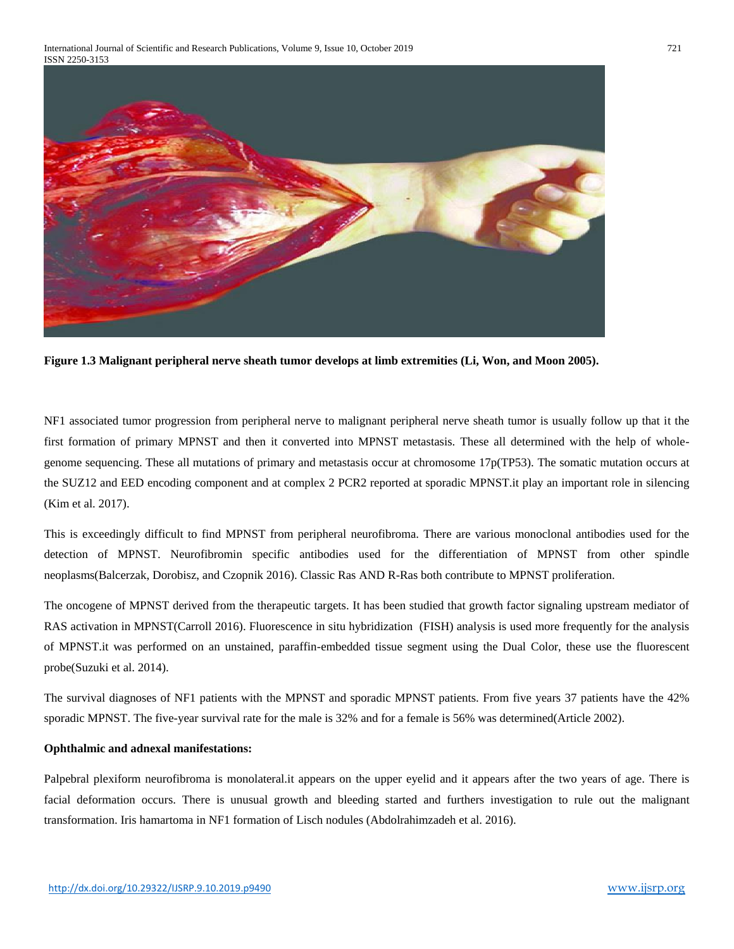

**Figure 1.3 Malignant peripheral nerve sheath tumor develops at limb extremities (Li, Won, and Moon 2005).**

NF1 associated tumor progression from peripheral nerve to malignant peripheral nerve sheath tumor is usually follow up that it the first formation of primary MPNST and then it converted into MPNST metastasis. These all determined with the help of wholegenome sequencing. These all mutations of primary and metastasis occur at chromosome 17p(TP53). The somatic mutation occurs at the SUZ12 and EED encoding component and at complex 2 PCR2 reported at sporadic MPNST.it play an important role in silencing (Kim et al. 2017).

This is exceedingly difficult to find MPNST from peripheral neurofibroma. There are various monoclonal antibodies used for the detection of MPNST. Neurofibromin specific antibodies used for the differentiation of MPNST from other spindle neoplasms(Balcerzak, Dorobisz, and Czopnik 2016). Classic Ras AND R-Ras both contribute to MPNST proliferation.

The oncogene of MPNST derived from the therapeutic targets. It has been studied that growth factor signaling upstream mediator of RAS activation in MPNST(Carroll 2016). Fluorescence in situ hybridization (FISH) analysis is used more frequently for the analysis of MPNST.it was performed on an unstained, paraffin-embedded tissue segment using the Dual Color, these use the fluorescent probe(Suzuki et al. 2014).

The survival diagnoses of NF1 patients with the MPNST and sporadic MPNST patients. From five years 37 patients have the 42% sporadic MPNST. The five-year survival rate for the male is 32% and for a female is 56% was determined(Article 2002).

# **Ophthalmic and adnexal manifestations:**

Palpebral plexiform neurofibroma is monolateral.it appears on the upper eyelid and it appears after the two years of age. There is facial deformation occurs. There is unusual growth and bleeding started and furthers investigation to rule out the malignant transformation. Iris hamartoma in NF1 formation of Lisch nodules (Abdolrahimzadeh et al. 2016).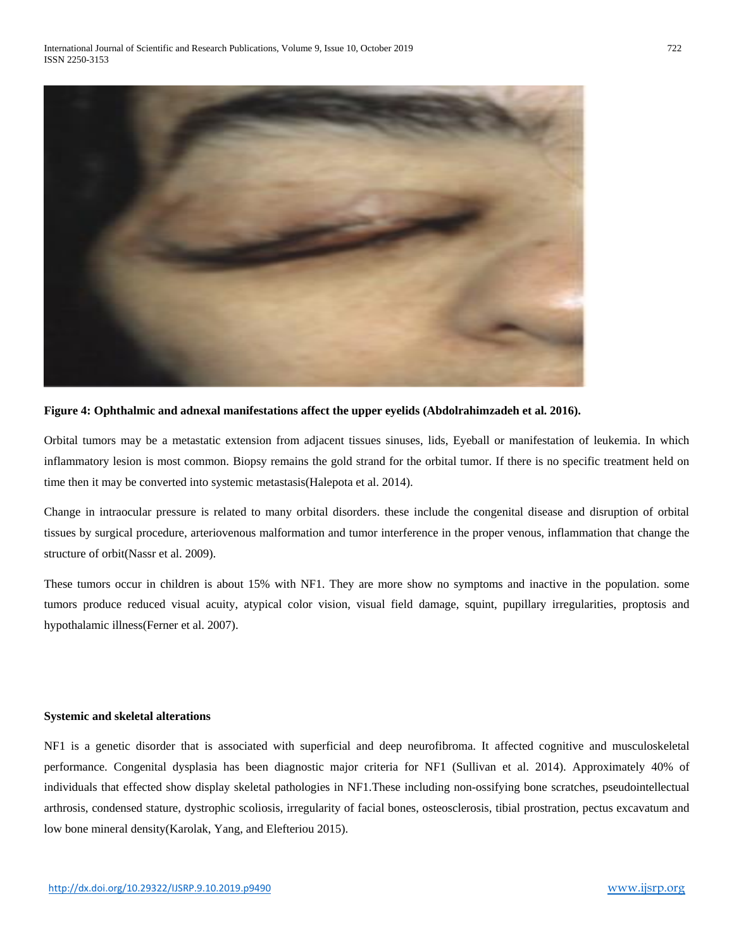

**Figure 4: Ophthalmic and adnexal manifestations affect the upper eyelids (Abdolrahimzadeh et al. 2016).**

Orbital tumors may be a metastatic extension from adjacent tissues sinuses, lids, Eyeball or manifestation of leukemia. In which inflammatory lesion is most common. Biopsy remains the gold strand for the orbital tumor. If there is no specific treatment held on time then it may be converted into systemic metastasis(Halepota et al. 2014).

Change in intraocular pressure is related to many orbital disorders. these include the congenital disease and disruption of orbital tissues by surgical procedure, arteriovenous malformation and tumor interference in the proper venous, inflammation that change the structure of orbit(Nassr et al. 2009).

These tumors occur in children is about 15% with NF1. They are more show no symptoms and inactive in the population. some tumors produce reduced visual acuity, atypical color vision, visual field damage, squint, pupillary irregularities, proptosis and hypothalamic illness(Ferner et al. 2007).

#### **Systemic and skeletal alterations**

NF1 is a genetic disorder that is associated with superficial and deep neurofibroma. It affected cognitive and musculoskeletal performance. Congenital dysplasia has been diagnostic major criteria for NF1 (Sullivan et al. 2014). Approximately 40% of individuals that effected show display skeletal pathologies in NF1.These including non-ossifying bone scratches, pseudointellectual arthrosis, condensed stature, dystrophic scoliosis, irregularity of facial bones, osteosclerosis, tibial prostration, pectus excavatum and low bone mineral density(Karolak, Yang, and Elefteriou 2015).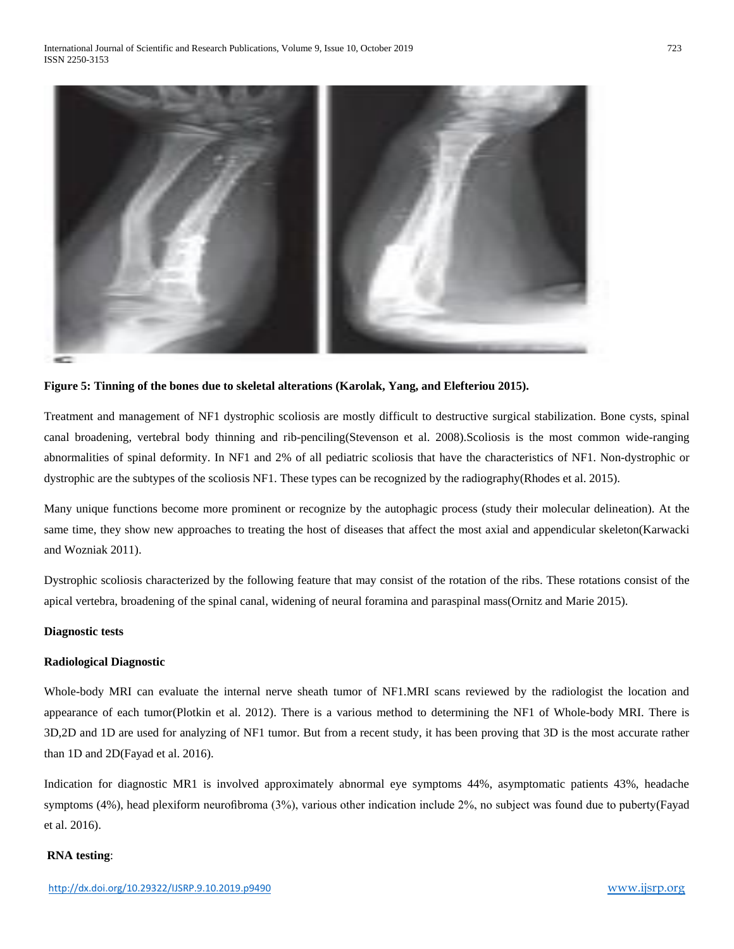

#### **Figure 5: Tinning of the bones due to skeletal alterations (Karolak, Yang, and Elefteriou 2015).**

Treatment and management of NF1 dystrophic scoliosis are mostly difficult to destructive surgical stabilization. Bone cysts, spinal canal broadening, vertebral body thinning and rib-penciling(Stevenson et al. 2008).Scoliosis is the most common wide-ranging abnormalities of spinal deformity. In NF1 and 2% of all pediatric scoliosis that have the characteristics of NF1. Non-dystrophic or dystrophic are the subtypes of the scoliosis NF1. These types can be recognized by the radiography(Rhodes et al. 2015).

Many unique functions become more prominent or recognize by the autophagic process (study their molecular delineation). At the same time, they show new approaches to treating the host of diseases that affect the most axial and appendicular skeleton(Karwacki and Wozniak 2011).

Dystrophic scoliosis characterized by the following feature that may consist of the rotation of the ribs. These rotations consist of the apical vertebra, broadening of the spinal canal, widening of neural foramina and paraspinal mass(Ornitz and Marie 2015).

#### **Diagnostic tests**

#### **Radiological Diagnostic**

Whole-body MRI can evaluate the internal nerve sheath tumor of NF1.MRI scans reviewed by the radiologist the location and appearance of each tumor(Plotkin et al. 2012). There is a various method to determining the NF1 of Whole-body MRI. There is 3D,2D and 1D are used for analyzing of NF1 tumor. But from a recent study, it has been proving that 3D is the most accurate rather than 1D and 2D(Fayad et al. 2016).

Indication for diagnostic MR1 is involved approximately abnormal eye symptoms 44%, asymptomatic patients 43%, headache symptoms (4%), head plexiform neurofibroma (3%), various other indication include 2%, no subject was found due to puberty(Fayad et al. 2016).

#### **RNA testing**: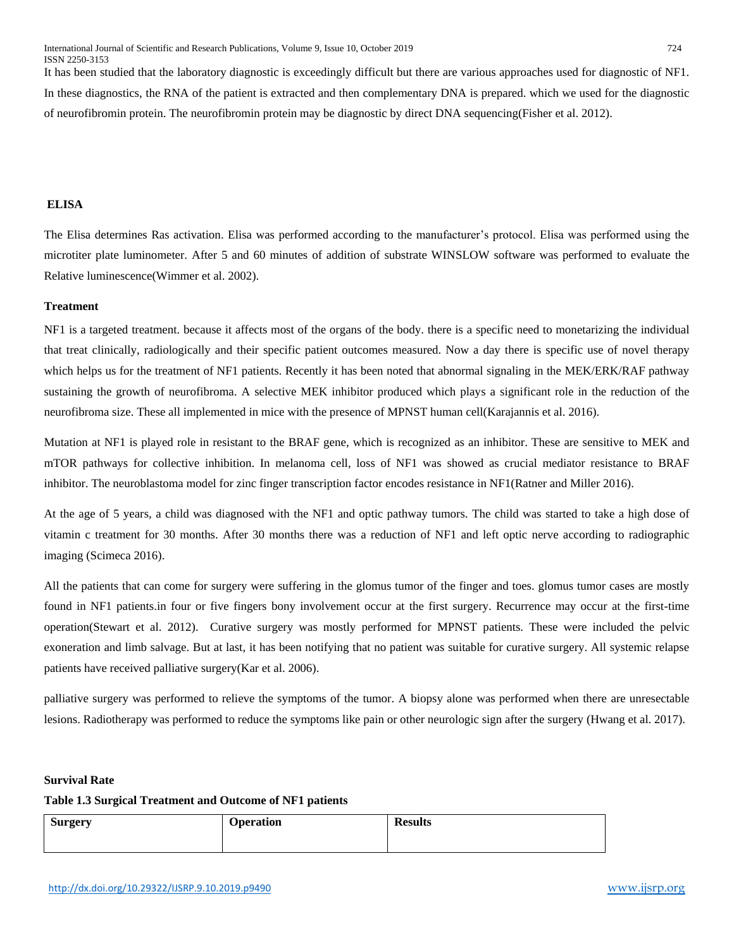It has been studied that the laboratory diagnostic is exceedingly difficult but there are various approaches used for diagnostic of NF1. In these diagnostics, the RNA of the patient is extracted and then complementary DNA is prepared. which we used for the diagnostic of neurofibromin protein. The neurofibromin protein may be diagnostic by direct DNA sequencing(Fisher et al. 2012).

# **ELISA**

The Elisa determines Ras activation. Elisa was performed according to the manufacturer's protocol. Elisa was performed using the microtiter plate luminometer. After 5 and 60 minutes of addition of substrate WINSLOW software was performed to evaluate the Relative luminescence(Wimmer et al. 2002).

# **Treatment**

NF1 is a targeted treatment. because it affects most of the organs of the body. there is a specific need to monetarizing the individual that treat clinically, radiologically and their specific patient outcomes measured. Now a day there is specific use of novel therapy which helps us for the treatment of NF1 patients. Recently it has been noted that abnormal signaling in the MEK/ERK/RAF pathway sustaining the growth of neurofibroma. A selective MEK inhibitor produced which plays a significant role in the reduction of the neurofibroma size. These all implemented in mice with the presence of MPNST human cell(Karajannis et al. 2016).

Mutation at NF1 is played role in resistant to the BRAF gene, which is recognized as an inhibitor. These are sensitive to MEK and mTOR pathways for collective inhibition. In melanoma cell, loss of NF1 was showed as crucial mediator resistance to BRAF inhibitor. The neuroblastoma model for zinc finger transcription factor encodes resistance in NF1(Ratner and Miller 2016).

At the age of 5 years, a child was diagnosed with the NF1 and optic pathway tumors. The child was started to take a high dose of vitamin c treatment for 30 months. After 30 months there was a reduction of NF1 and left optic nerve according to radiographic imaging (Scimeca 2016).

All the patients that can come for surgery were suffering in the glomus tumor of the finger and toes. glomus tumor cases are mostly found in NF1 patients.in four or five fingers bony involvement occur at the first surgery. Recurrence may occur at the first-time operation(Stewart et al. 2012). Curative surgery was mostly performed for MPNST patients. These were included the pelvic exoneration and limb salvage. But at last, it has been notifying that no patient was suitable for curative surgery. All systemic relapse patients have received palliative surgery(Kar et al. 2006).

palliative surgery was performed to relieve the symptoms of the tumor. A biopsy alone was performed when there are unresectable lesions. Radiotherapy was performed to reduce the symptoms like pain or other neurologic sign after the surgery (Hwang et al. 2017).

# **Survival Rate**

# **Table 1.3 Surgical Treatment and Outcome of NF1 patients**

| <b>Surgery</b> | <b>Operation</b> | <b>Results</b> |
|----------------|------------------|----------------|
|                |                  |                |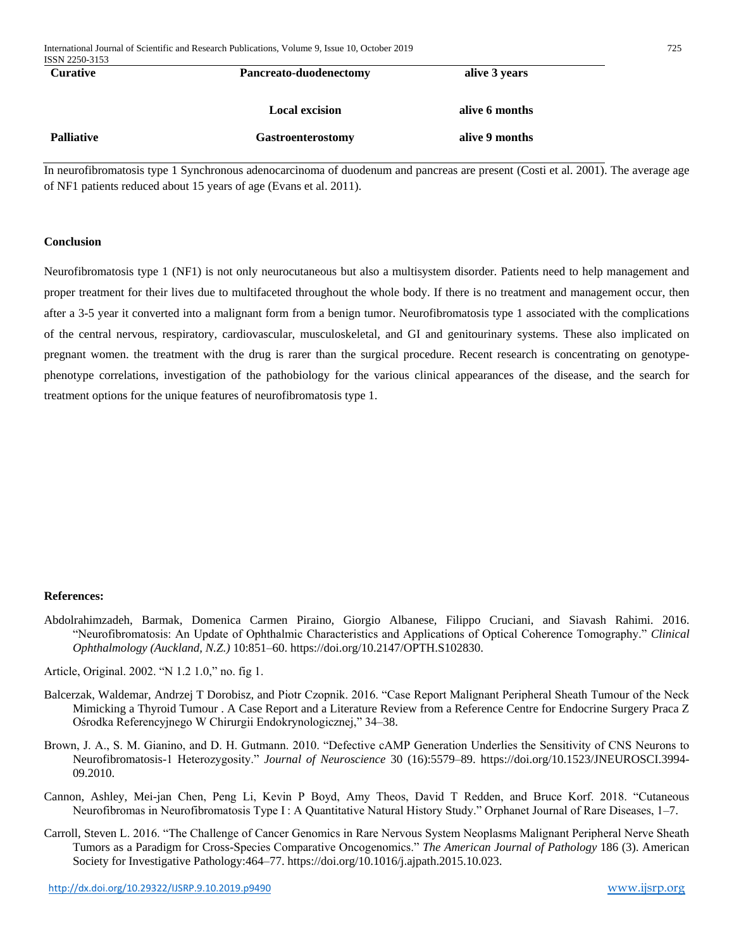| ISSN 2250-3153    |                          |                |  |
|-------------------|--------------------------|----------------|--|
| <b>Curative</b>   | Pancreato-duodenectomy   | alive 3 years  |  |
|                   | <b>Local excision</b>    | alive 6 months |  |
| <b>Palliative</b> | <b>Gastroenterostomy</b> | alive 9 months |  |
|                   |                          |                |  |

In neurofibromatosis type 1 Synchronous adenocarcinoma of duodenum and pancreas are present (Costi et al. 2001). The average age of NF1 patients reduced about 15 years of age (Evans et al. 2011).

#### **Conclusion**

Neurofibromatosis type 1 (NF1) is not only neurocutaneous but also a multisystem disorder. Patients need to help management and proper treatment for their lives due to multifaceted throughout the whole body. If there is no treatment and management occur, then after a 3-5 year it converted into a malignant form from a benign tumor. Neurofibromatosis type 1 associated with the complications of the central nervous, respiratory, cardiovascular, musculoskeletal, and GI and genitourinary systems. These also implicated on pregnant women. the treatment with the drug is rarer than the surgical procedure. Recent research is concentrating on genotypephenotype correlations, investigation of the pathobiology for the various clinical appearances of the disease, and the search for treatment options for the unique features of neurofibromatosis type 1.

# **References:**

Abdolrahimzadeh, Barmak, Domenica Carmen Piraino, Giorgio Albanese, Filippo Cruciani, and Siavash Rahimi. 2016. "Neurofibromatosis: An Update of Ophthalmic Characteristics and Applications of Optical Coherence Tomography." *Clinical Ophthalmology (Auckland, N.Z.)* 10:851–60. https://doi.org/10.2147/OPTH.S102830.

Article, Original. 2002. "N 1.2 1.0," no. fig 1.

- Balcerzak, Waldemar, Andrzej T Dorobisz, and Piotr Czopnik. 2016. "Case Report Malignant Peripheral Sheath Tumour of the Neck Mimicking a Thyroid Tumour . A Case Report and a Literature Review from a Reference Centre for Endocrine Surgery Praca Z Ośrodka Referencyjnego W Chirurgii Endokrynologicznej," 34–38.
- Brown, J. A., S. M. Gianino, and D. H. Gutmann. 2010. "Defective cAMP Generation Underlies the Sensitivity of CNS Neurons to Neurofibromatosis-1 Heterozygosity." *Journal of Neuroscience* 30 (16):5579–89. https://doi.org/10.1523/JNEUROSCI.3994- 09.2010.
- Cannon, Ashley, Mei-jan Chen, Peng Li, Kevin P Boyd, Amy Theos, David T Redden, and Bruce Korf. 2018. "Cutaneous Neurofibromas in Neurofibromatosis Type I : A Quantitative Natural History Study." Orphanet Journal of Rare Diseases, 1–7.
- Carroll, Steven L. 2016. "The Challenge of Cancer Genomics in Rare Nervous System Neoplasms Malignant Peripheral Nerve Sheath Tumors as a Paradigm for Cross-Species Comparative Oncogenomics." *The American Journal of Pathology* 186 (3). American Society for Investigative Pathology:464–77. https://doi.org/10.1016/j.ajpath.2015.10.023.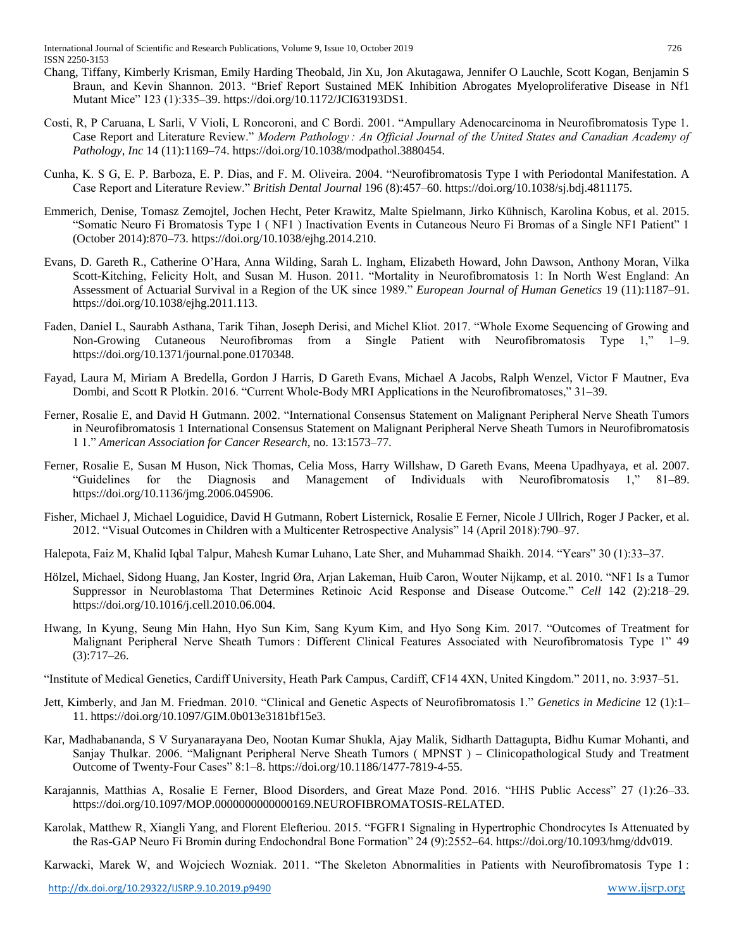- Chang, Tiffany, Kimberly Krisman, Emily Harding Theobald, Jin Xu, Jon Akutagawa, Jennifer O Lauchle, Scott Kogan, Benjamin S Braun, and Kevin Shannon. 2013. "Brief Report Sustained MEK Inhibition Abrogates Myeloproliferative Disease in Nf1 Mutant Mice" 123 (1):335–39. https://doi.org/10.1172/JCI63193DS1.
- Costi, R, P Caruana, L Sarli, V Violi, L Roncoroni, and C Bordi. 2001. "Ampullary Adenocarcinoma in Neurofibromatosis Type 1. Case Report and Literature Review." *Modern Pathology : An Official Journal of the United States and Canadian Academy of Pathology, Inc* 14 (11):1169–74. https://doi.org/10.1038/modpathol.3880454.
- Cunha, K. S G, E. P. Barboza, E. P. Dias, and F. M. Oliveira. 2004. "Neurofibromatosis Type I with Periodontal Manifestation. A Case Report and Literature Review." *British Dental Journal* 196 (8):457–60. https://doi.org/10.1038/sj.bdj.4811175.
- Emmerich, Denise, Tomasz Zemojtel, Jochen Hecht, Peter Krawitz, Malte Spielmann, Jirko Kühnisch, Karolina Kobus, et al. 2015. "Somatic Neuro Fi Bromatosis Type 1 ( NF1 ) Inactivation Events in Cutaneous Neuro Fi Bromas of a Single NF1 Patient" 1 (October 2014):870–73. https://doi.org/10.1038/ejhg.2014.210.
- Evans, D. Gareth R., Catherine O'Hara, Anna Wilding, Sarah L. Ingham, Elizabeth Howard, John Dawson, Anthony Moran, Vilka Scott-Kitching, Felicity Holt, and Susan M. Huson. 2011. "Mortality in Neurofibromatosis 1: In North West England: An Assessment of Actuarial Survival in a Region of the UK since 1989." *European Journal of Human Genetics* 19 (11):1187–91. https://doi.org/10.1038/ejhg.2011.113.
- Faden, Daniel L, Saurabh Asthana, Tarik Tihan, Joseph Derisi, and Michel Kliot. 2017. "Whole Exome Sequencing of Growing and Non-Growing Cutaneous Neurofibromas from a Single Patient with Neurofibromatosis Type 1," 1–9. https://doi.org/10.1371/journal.pone.0170348.
- Fayad, Laura M, Miriam A Bredella, Gordon J Harris, D Gareth Evans, Michael A Jacobs, Ralph Wenzel, Victor F Mautner, Eva Dombi, and Scott R Plotkin. 2016. "Current Whole-Body MRI Applications in the Neurofibromatoses," 31–39.
- Ferner, Rosalie E, and David H Gutmann. 2002. "International Consensus Statement on Malignant Peripheral Nerve Sheath Tumors in Neurofibromatosis 1 International Consensus Statement on Malignant Peripheral Nerve Sheath Tumors in Neurofibromatosis 1 1." *American Association for Cancer Research*, no. 13:1573–77.
- Ferner, Rosalie E, Susan M Huson, Nick Thomas, Celia Moss, Harry Willshaw, D Gareth Evans, Meena Upadhyaya, et al. 2007. "Guidelines for the Diagnosis and Management of Individuals with Neurofibromatosis 1," 81–89. https://doi.org/10.1136/jmg.2006.045906.
- Fisher, Michael J, Michael Loguidice, David H Gutmann, Robert Listernick, Rosalie E Ferner, Nicole J Ullrich, Roger J Packer, et al. 2012. "Visual Outcomes in Children with a Multicenter Retrospective Analysis" 14 (April 2018):790–97.
- Halepota, Faiz M, Khalid Iqbal Talpur, Mahesh Kumar Luhano, Late Sher, and Muhammad Shaikh. 2014. "Years" 30 (1):33–37.
- Hölzel, Michael, Sidong Huang, Jan Koster, Ingrid Øra, Arjan Lakeman, Huib Caron, Wouter Nijkamp, et al. 2010. "NF1 Is a Tumor Suppressor in Neuroblastoma That Determines Retinoic Acid Response and Disease Outcome." *Cell* 142 (2):218–29. https://doi.org/10.1016/j.cell.2010.06.004.
- Hwang, In Kyung, Seung Min Hahn, Hyo Sun Kim, Sang Kyum Kim, and Hyo Song Kim. 2017. "Outcomes of Treatment for Malignant Peripheral Nerve Sheath Tumors : Different Clinical Features Associated with Neurofibromatosis Type 1" 49 (3):717–26.
- "Institute of Medical Genetics, Cardiff University, Heath Park Campus, Cardiff, CF14 4XN, United Kingdom." 2011, no. 3:937–51.
- Jett, Kimberly, and Jan M. Friedman. 2010. "Clinical and Genetic Aspects of Neurofibromatosis 1." *Genetics in Medicine* 12 (1):1– 11. https://doi.org/10.1097/GIM.0b013e3181bf15e3.
- Kar, Madhabananda, S V Suryanarayana Deo, Nootan Kumar Shukla, Ajay Malik, Sidharth Dattagupta, Bidhu Kumar Mohanti, and Sanjay Thulkar. 2006. "Malignant Peripheral Nerve Sheath Tumors ( MPNST ) – Clinicopathological Study and Treatment Outcome of Twenty-Four Cases" 8:1–8. https://doi.org/10.1186/1477-7819-4-55.
- Karajannis, Matthias A, Rosalie E Ferner, Blood Disorders, and Great Maze Pond. 2016. "HHS Public Access" 27 (1):26–33. https://doi.org/10.1097/MOP.0000000000000169.NEUROFIBROMATOSIS-RELATED.
- Karolak, Matthew R, Xiangli Yang, and Florent Elefteriou. 2015. "FGFR1 Signaling in Hypertrophic Chondrocytes Is Attenuated by the Ras-GAP Neuro Fi Bromin during Endochondral Bone Formation" 24 (9):2552–64. https://doi.org/10.1093/hmg/ddv019.

Karwacki, Marek W, and Wojciech Wozniak. 2011. "The Skeleton Abnormalities in Patients with Neurofibromatosis Type 1 :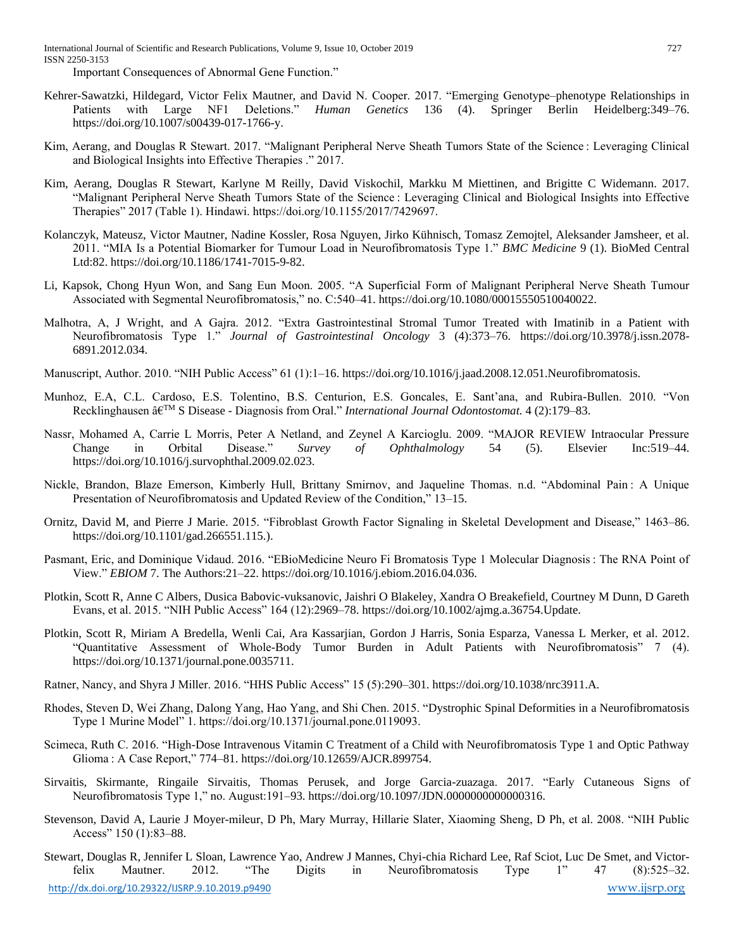International Journal of Scientific and Research Publications, Volume 9, Issue 10, October 2019 727 ISSN 2250-3153

Important Consequences of Abnormal Gene Function."

- Kehrer-Sawatzki, Hildegard, Victor Felix Mautner, and David N. Cooper. 2017. "Emerging Genotype–phenotype Relationships in Patients with Large NF1 Deletions." *Human Genetics* 136 (4). Springer Berlin Heidelberg:349–76. https://doi.org/10.1007/s00439-017-1766-y.
- Kim, Aerang, and Douglas R Stewart. 2017. "Malignant Peripheral Nerve Sheath Tumors State of the Science : Leveraging Clinical and Biological Insights into Effective Therapies ." 2017.
- Kim, Aerang, Douglas R Stewart, Karlyne M Reilly, David Viskochil, Markku M Miettinen, and Brigitte C Widemann. 2017. "Malignant Peripheral Nerve Sheath Tumors State of the Science : Leveraging Clinical and Biological Insights into Effective Therapies" 2017 (Table 1). Hindawi. https://doi.org/10.1155/2017/7429697.
- Kolanczyk, Mateusz, Victor Mautner, Nadine Kossler, Rosa Nguyen, Jirko Kühnisch, Tomasz Zemojtel, Aleksander Jamsheer, et al. 2011. "MIA Is a Potential Biomarker for Tumour Load in Neurofibromatosis Type 1." *BMC Medicine* 9 (1). BioMed Central Ltd:82. https://doi.org/10.1186/1741-7015-9-82.
- Li, Kapsok, Chong Hyun Won, and Sang Eun Moon. 2005. "A Superficial Form of Malignant Peripheral Nerve Sheath Tumour Associated with Segmental Neurofibromatosis," no. C:540–41. https://doi.org/10.1080/00015550510040022.
- Malhotra, A, J Wright, and A Gajra. 2012. "Extra Gastrointestinal Stromal Tumor Treated with Imatinib in a Patient with Neurofibromatosis Type 1." *Journal of Gastrointestinal Oncology* 3 (4):373–76. https://doi.org/10.3978/j.issn.2078- 6891.2012.034.
- Manuscript, Author. 2010. "NIH Public Access" 61 (1):1–16. https://doi.org/10.1016/j.jaad.2008.12.051. Neurofibromatosis.
- Munhoz, E.A, C.L. Cardoso, E.S. Tolentino, B.S. Centurion, E.S. Goncales, E. Sant'ana, and Rubira-Bullen. 2010. "Von Recklinghausen â€TM S Disease - Diagnosis from Oral." *International Journal Odontostomat.* 4 (2):179–83.
- Nassr, Mohamed A, Carrie L Morris, Peter A Netland, and Zeynel A Karcioglu. 2009. "MAJOR REVIEW Intraocular Pressure Change in Orbital Disease." *Survey of Ophthalmology* 54 (5). Elsevier Inc:519–44. https://doi.org/10.1016/j.survophthal.2009.02.023.
- Nickle, Brandon, Blaze Emerson, Kimberly Hull, Brittany Smirnov, and Jaqueline Thomas. n.d. "Abdominal Pain : A Unique Presentation of Neurofibromatosis and Updated Review of the Condition," 13–15.
- Ornitz, David M, and Pierre J Marie. 2015. "Fibroblast Growth Factor Signaling in Skeletal Development and Disease," 1463–86. https://doi.org/10.1101/gad.266551.115.).
- Pasmant, Eric, and Dominique Vidaud. 2016. "EBioMedicine Neuro Fi Bromatosis Type 1 Molecular Diagnosis : The RNA Point of View." *EBIOM* 7. The Authors:21–22. https://doi.org/10.1016/j.ebiom.2016.04.036.
- Plotkin, Scott R, Anne C Albers, Dusica Babovic-vuksanovic, Jaishri O Blakeley, Xandra O Breakefield, Courtney M Dunn, D Gareth Evans, et al. 2015. "NIH Public Access" 164 (12):2969–78. https://doi.org/10.1002/ajmg.a.36754.Update.
- Plotkin, Scott R, Miriam A Bredella, Wenli Cai, Ara Kassarjian, Gordon J Harris, Sonia Esparza, Vanessa L Merker, et al. 2012. "Quantitative Assessment of Whole-Body Tumor Burden in Adult Patients with Neurofibromatosis" 7 (4). https://doi.org/10.1371/journal.pone.0035711.
- Ratner, Nancy, and Shyra J Miller. 2016. "HHS Public Access" 15 (5):290–301. https://doi.org/10.1038/nrc3911.A.
- Rhodes, Steven D, Wei Zhang, Dalong Yang, Hao Yang, and Shi Chen. 2015. "Dystrophic Spinal Deformities in a Neurofibromatosis Type 1 Murine Model" 1. https://doi.org/10.1371/journal.pone.0119093.
- Scimeca, Ruth C. 2016. "High-Dose Intravenous Vitamin C Treatment of a Child with Neurofibromatosis Type 1 and Optic Pathway Glioma : A Case Report," 774–81. https://doi.org/10.12659/AJCR.899754.
- Sirvaitis, Skirmante, Ringaile Sirvaitis, Thomas Perusek, and Jorge Garcia-zuazaga. 2017. "Early Cutaneous Signs of Neurofibromatosis Type 1," no. August:191–93. https://doi.org/10.1097/JDN.0000000000000316.
- Stevenson, David A, Laurie J Moyer-mileur, D Ph, Mary Murray, Hillarie Slater, Xiaoming Sheng, D Ph, et al. 2008. "NIH Public Access" 150 (1):83–88.
- <http://dx.doi.org/10.29322/IJSRP.9.10.2019.p9490> [www.ijsrp.org](http://ijsrp.org/) Stewart, Douglas R, Jennifer L Sloan, Lawrence Yao, Andrew J Mannes, Chyi-chia Richard Lee, Raf Sciot, Luc De Smet, and Victorfelix Mautner. 2012. "The Digits in Neurofibromatosis Type 1" 47 (8):525–32.